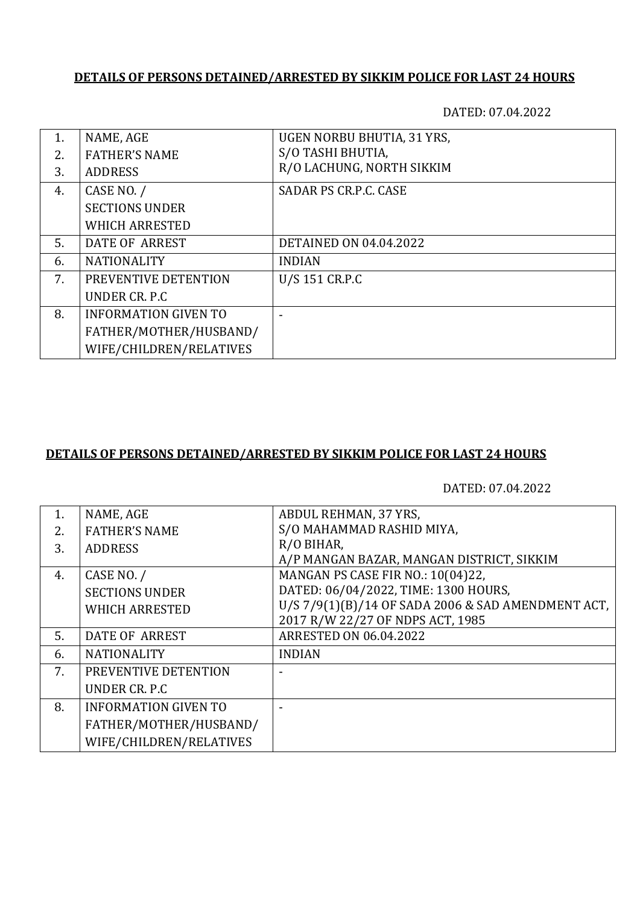# **DETAILS OF PERSONS DETAINED/ARRESTED BY SIKKIM POLICE FOR LAST 24 HOURS**

DATED: 07.04.2022

| 1. | NAME, AGE                   | UGEN NORBU BHUTIA, 31 YRS,    |
|----|-----------------------------|-------------------------------|
| 2. | <b>FATHER'S NAME</b>        | S/O TASHI BHUTIA,             |
| 3. | <b>ADDRESS</b>              | R/O LACHUNG, NORTH SIKKIM     |
|    |                             |                               |
| 4. | CASE NO. /                  | SADAR PS CR.P.C. CASE         |
|    | <b>SECTIONS UNDER</b>       |                               |
|    | <b>WHICH ARRESTED</b>       |                               |
| 5. | DATE OF ARREST              | <b>DETAINED ON 04.04.2022</b> |
| 6. | <b>NATIONALITY</b>          | <b>INDIAN</b>                 |
| 7. | PREVENTIVE DETENTION        | U/S 151 CR.P.C                |
|    | UNDER CR. P.C.              |                               |
| 8. | <b>INFORMATION GIVEN TO</b> |                               |
|    | FATHER/MOTHER/HUSBAND/      |                               |
|    | WIFE/CHILDREN/RELATIVES     |                               |

### **DETAILS OF PERSONS DETAINED/ARRESTED BY SIKKIM POLICE FOR LAST 24 HOURS**

DATED: 07.04.2022

| 1. | NAME, AGE                   | ABDUL REHMAN, 37 YRS,                              |
|----|-----------------------------|----------------------------------------------------|
| 2. | <b>FATHER'S NAME</b>        | S/O MAHAMMAD RASHID MIYA,                          |
| 3. | <b>ADDRESS</b>              | R/O BIHAR,                                         |
|    |                             | A/P MANGAN BAZAR, MANGAN DISTRICT, SIKKIM          |
| 4. | CASE NO. /                  | MANGAN PS CASE FIR NO.: 10(04)22,                  |
|    | <b>SECTIONS UNDER</b>       | DATED: 06/04/2022, TIME: 1300 HOURS,               |
|    | <b>WHICH ARRESTED</b>       | U/S 7/9(1)(B)/14 OF SADA 2006 & SAD AMENDMENT ACT, |
|    |                             | 2017 R/W 22/27 OF NDPS ACT, 1985                   |
| 5. | <b>DATE OF ARREST</b>       | <b>ARRESTED ON 06.04.2022</b>                      |
| 6. | <b>NATIONALITY</b>          | <b>INDIAN</b>                                      |
| 7. | PREVENTIVE DETENTION        |                                                    |
|    | UNDER CR. P.C.              |                                                    |
| 8. | <b>INFORMATION GIVEN TO</b> |                                                    |
|    | FATHER/MOTHER/HUSBAND/      |                                                    |
|    | WIFE/CHILDREN/RELATIVES     |                                                    |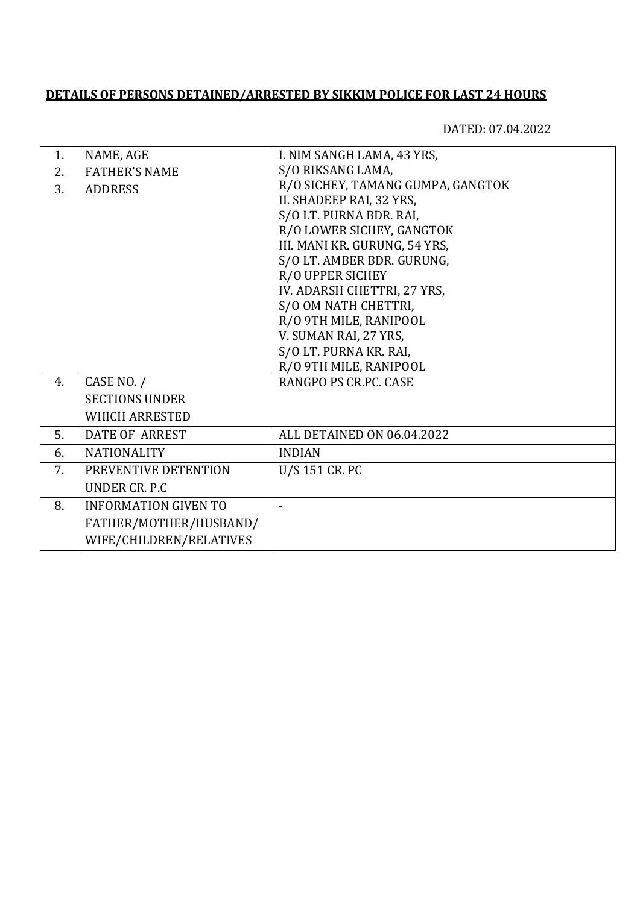# **DETAILS OF PERSONS DETAINED/ARRESTED BY SIKKIM POLICE FOR LAST 24 HOURS**

DATED: 07.04.2022

| 1. | NAME, AGE                   | I. NIM SANGH LAMA, 43 YRS,        |
|----|-----------------------------|-----------------------------------|
| 2. | <b>FATHER'S NAME</b>        | S/O RIKSANG LAMA,                 |
| 3. | <b>ADDRESS</b>              | R/O SICHEY, TAMANG GUMPA, GANGTOK |
|    |                             | II. SHADEEP RAI, 32 YRS,          |
|    |                             | S/O LT. PURNA BDR. RAI,           |
|    |                             | R/O LOWER SICHEY, GANGTOK         |
|    |                             | III. MANI KR. GURUNG, 54 YRS,     |
|    |                             | S/O LT. AMBER BDR. GURUNG,        |
|    |                             | R/O UPPER SICHEY                  |
|    |                             | IV. ADARSH CHETTRI, 27 YRS,       |
|    |                             | S/O OM NATH CHETTRI,              |
|    |                             | R/O 9TH MILE, RANIPOOL            |
|    |                             | V. SUMAN RAI, 27 YRS,             |
|    |                             | S/O LT. PURNA KR. RAI,            |
|    |                             | R/O 9TH MILE, RANIPOOL            |
| 4. | CASE NO. /                  | RANGPO PS CR.PC. CASE             |
|    | <b>SECTIONS UNDER</b>       |                                   |
|    | <b>WHICH ARRESTED</b>       |                                   |
| 5. | <b>DATE OF ARREST</b>       | ALL DETAINED ON 06.04.2022        |
| 6. | <b>NATIONALITY</b>          | <b>INDIAN</b>                     |
| 7. | PREVENTIVE DETENTION        | U/S 151 CR. PC                    |
|    | UNDER CR. P.C               |                                   |
| 8. | <b>INFORMATION GIVEN TO</b> | $\blacksquare$                    |
|    | FATHER/MOTHER/HUSBAND/      |                                   |
|    | WIFE/CHILDREN/RELATIVES     |                                   |